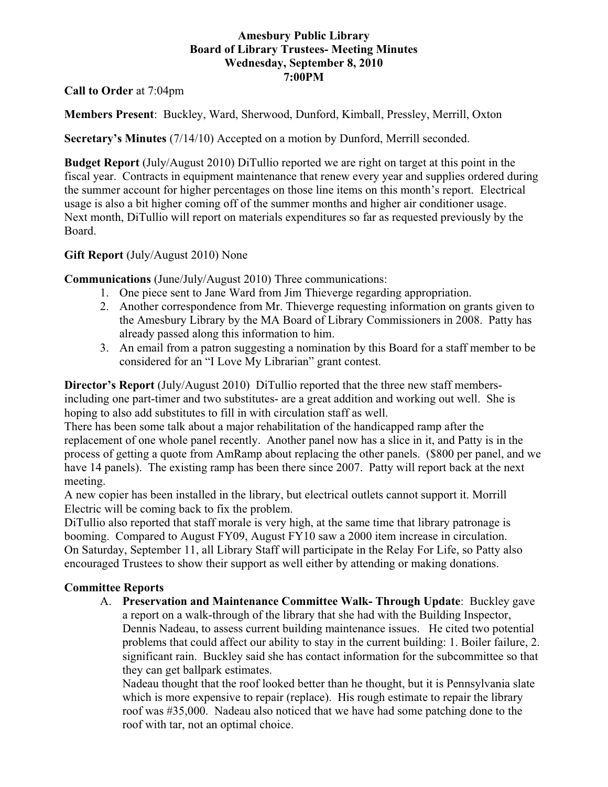## **Amesbury Public Library Board of Library Trustees- Meeting Minutes Wednesday, September 8, 2010 7:00PM**

**Call to Order** at 7:04pm

**Members Present**: Buckley, Ward, Sherwood, Dunford, Kimball, Pressley, Merrill, Oxton

**Secretary's Minutes** (7/14/10) Accepted on a motion by Dunford, Merrill seconded.

**Budget Report** (July/August 2010) DiTullio reported we are right on target at this point in the fiscal year. Contracts in equipment maintenance that renew every year and supplies ordered during the summer account for higher percentages on those line items on this month's report. Electrical usage is also a bit higher coming off of the summer months and higher air conditioner usage. Next month, DiTullio will report on materials expenditures so far as requested previously by the Board.

## **Gift Report** (July/August 2010) None

**Communications** (June/July/August 2010) Three communications:

- 1. One piece sent to Jane Ward from Jim Thieverge regarding appropriation.
- 2. Another correspondence from Mr. Thieverge requesting information on grants given to the Amesbury Library by the MA Board of Library Commissioners in 2008. Patty has already passed along this information to him.
- 3. An email from a patron suggesting a nomination by this Board for a staff member to be considered for an "I Love My Librarian" grant contest.

**Director's Report** (July/August 2010) DiTullio reported that the three new staff membersincluding one part-timer and two substitutes- are a great addition and working out well. She is hoping to also add substitutes to fill in with circulation staff as well.

There has been some talk about a major rehabilitation of the handicapped ramp after the replacement of one whole panel recently. Another panel now has a slice in it, and Patty is in the process of getting a quote from AmRamp about replacing the other panels. (\$800 per panel, and we have 14 panels). The existing ramp has been there since 2007. Patty will report back at the next meeting.

A new copier has been installed in the library, but electrical outlets cannot support it. Morrill Electric will be coming back to fix the problem.

DiTullio also reported that staff morale is very high, at the same time that library patronage is booming. Compared to August FY09, August FY10 saw a 2000 item increase in circulation. On Saturday, September 11, all Library Staff will participate in the Relay For Life, so Patty also encouraged Trustees to show their support as well either by attending or making donations.

# **Committee Reports**

A. **Preservation and Maintenance Committee Walk- Through Update**: Buckley gave a report on a walk-through of the library that she had with the Building Inspector, Dennis Nadeau, to assess current building maintenance issues. He cited two potential problems that could affect our ability to stay in the current building: 1. Boiler failure, 2. significant rain. Buckley said she has contact information for the subcommittee so that they can get ballpark estimates.

Nadeau thought that the roof looked better than he thought, but it is Pennsylvania slate which is more expensive to repair (replace). His rough estimate to repair the library roof was #35,000. Nadeau also noticed that we have had some patching done to the roof with tar, not an optimal choice.